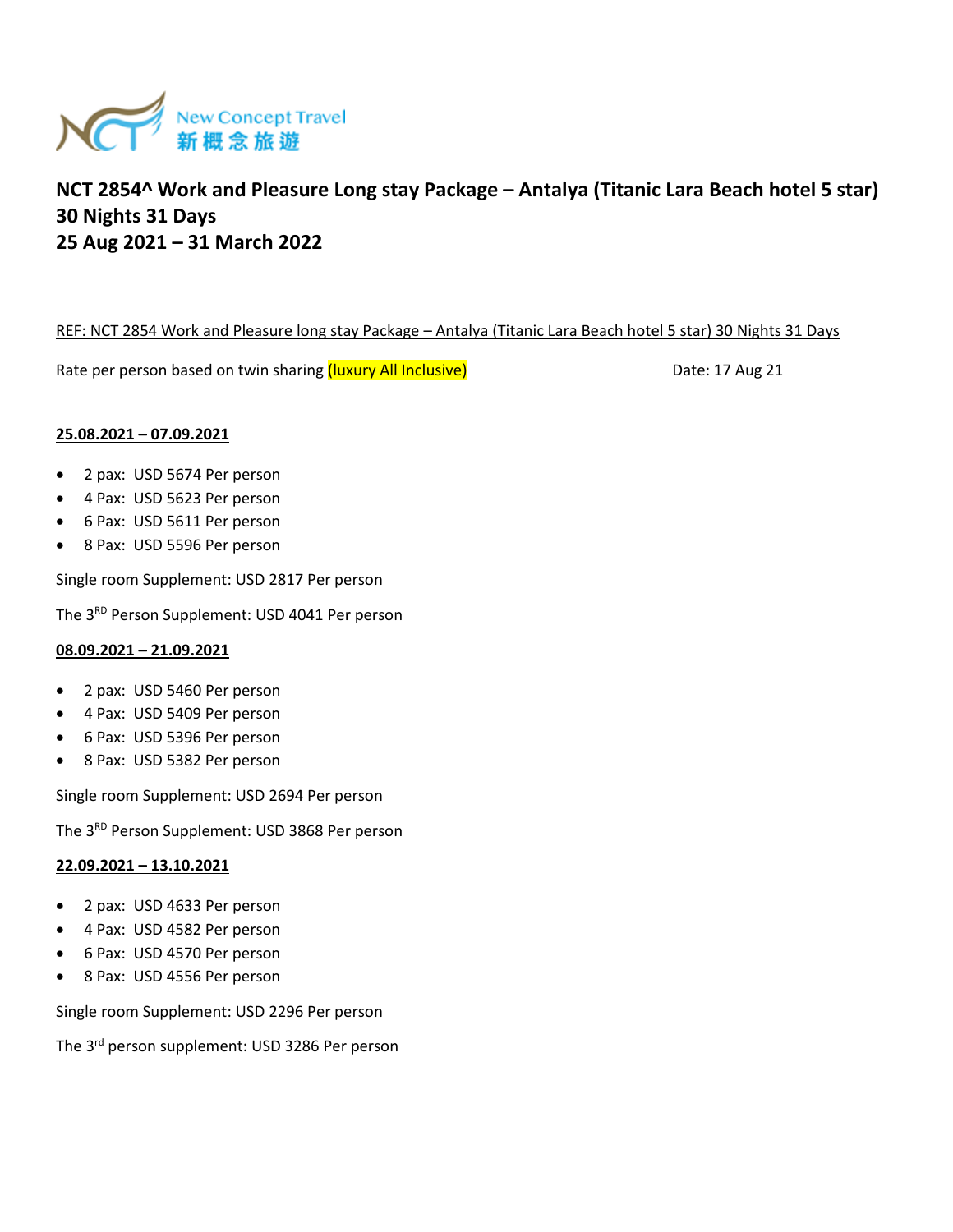

## REF: NCT 2854 Work and Pleasure long stay Package – Antalya (Titanic Lara Beach hotel 5 star) 30 Nights 31 Days

Rate per person based on twin sharing (luxury All Inclusive) Massessen and the Cate: 17 Aug 21

## **25.08.2021 – 07.09.2021**

- 2 pax: USD 5674 Per person
- 4 Pax: USD 5623 Per person
- 6 Pax: USD 5611 Per person
- 8 Pax: USD 5596 Per person

Single room Supplement: USD 2817 Per person

The 3<sup>RD</sup> Person Supplement: USD 4041 Per person

## **08.09.2021 – 21.09.2021**

- 2 pax: USD 5460 Per person
- 4 Pax: USD 5409 Per person
- 6 Pax: USD 5396 Per person
- 8 Pax: USD 5382 Per person

Single room Supplement: USD 2694 Per person

The 3RD Person Supplement: USD 3868 Per person

#### **22.09.2021 – 13.10.2021**

- 2 pax: USD 4633 Per person
- 4 Pax: USD 4582 Per person
- 6 Pax: USD 4570 Per person
- 8 Pax: USD 4556 Per person

Single room Supplement: USD 2296 Per person

The 3rd person supplement: USD 3286 Per person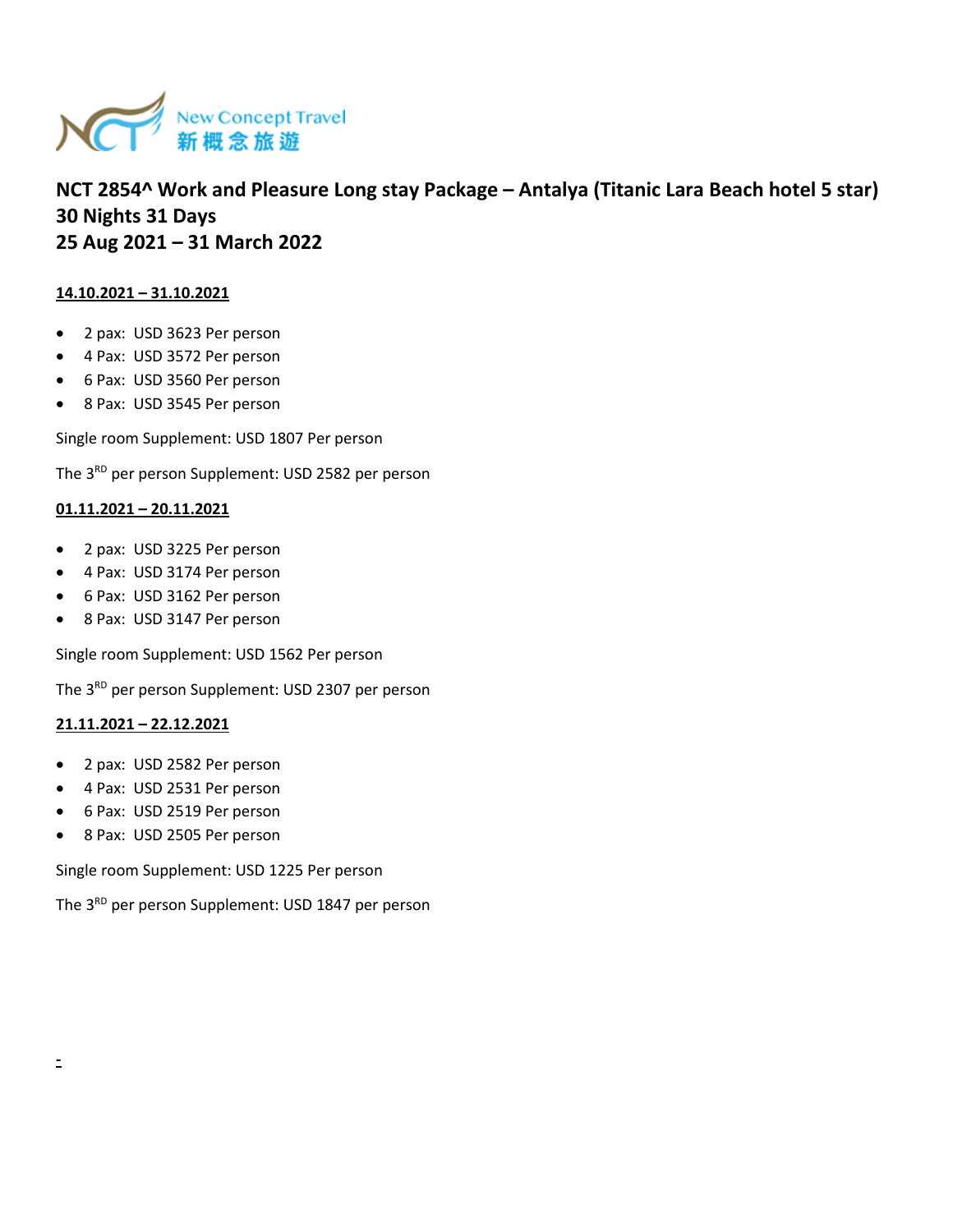

## **14.10.2021 – 31.10.2021**

- 2 pax: USD 3623 Per person
- 4 Pax: USD 3572 Per person
- 6 Pax: USD 3560 Per person
- 8 Pax: USD 3545 Per person

Single room Supplement: USD 1807 Per person

The 3<sup>RD</sup> per person Supplement: USD 2582 per person

#### **01.11.2021 – 20.11.2021**

- 2 pax: USD 3225 Per person
- 4 Pax: USD 3174 Per person
- 6 Pax: USD 3162 Per person
- 8 Pax: USD 3147 Per person

Single room Supplement: USD 1562 Per person

The 3<sup>RD</sup> per person Supplement: USD 2307 per person

#### **21.11.2021 – 22.12.2021**

- 2 pax: USD 2582 Per person
- 4 Pax: USD 2531 Per person
- 6 Pax: USD 2519 Per person
- 8 Pax: USD 2505 Per person

Single room Supplement: USD 1225 Per person

The 3<sup>RD</sup> per person Supplement: USD 1847 per person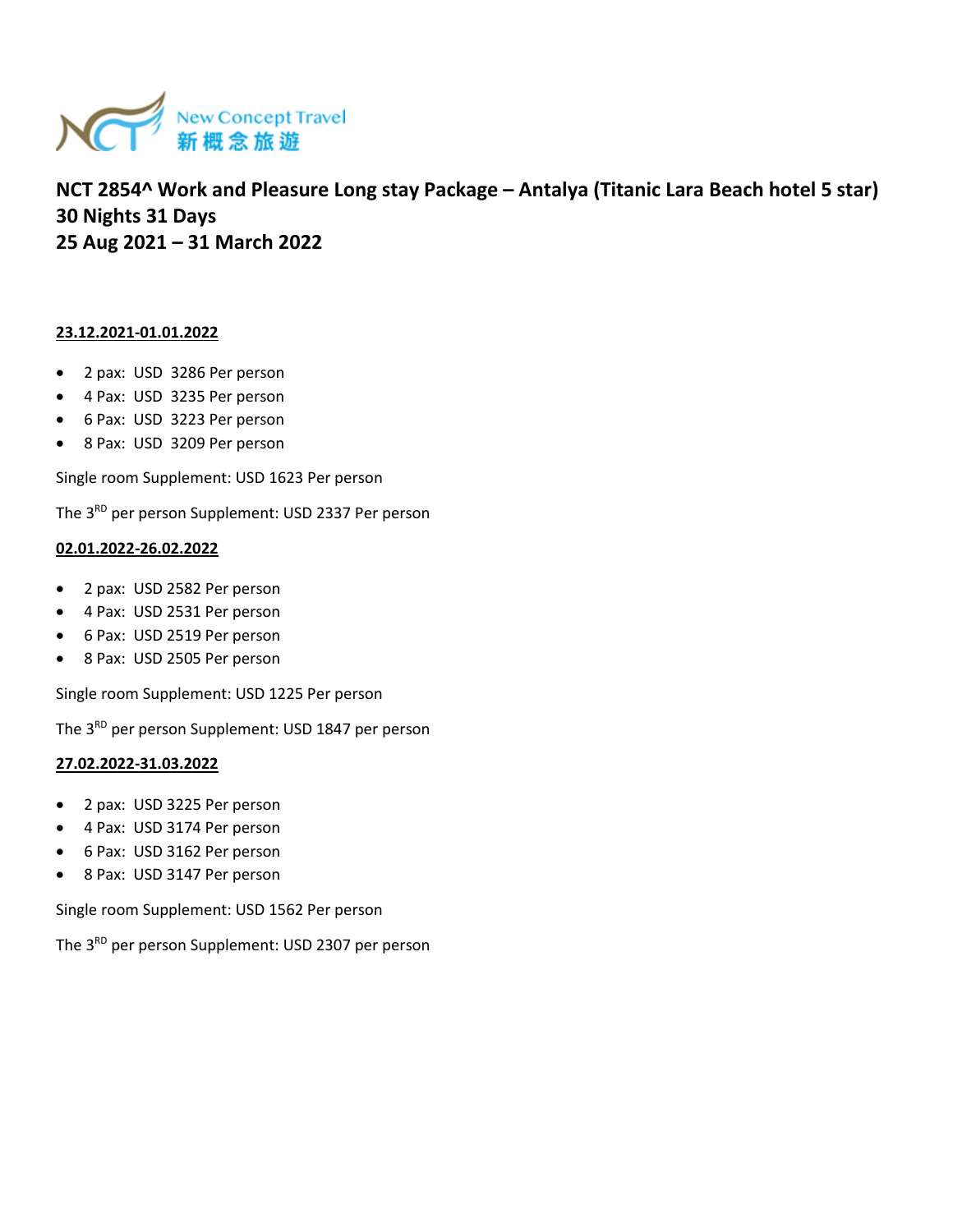

#### **23.12.2021-01.01.2022**

- 2 pax: USD 3286 Per person
- 4 Pax: USD 3235 Per person
- 6 Pax: USD 3223 Per person
- 8 Pax: USD 3209 Per person

Single room Supplement: USD 1623 Per person

The 3<sup>RD</sup> per person Supplement: USD 2337 Per person

## **02.01.2022-26.02.2022**

- 2 pax: USD 2582 Per person
- 4 Pax: USD 2531 Per person
- 6 Pax: USD 2519 Per person
- 8 Pax: USD 2505 Per person

Single room Supplement: USD 1225 Per person

The 3<sup>RD</sup> per person Supplement: USD 1847 per person

#### **27.02.2022-31.03.2022**

- 2 pax: USD 3225 Per person
- 4 Pax: USD 3174 Per person
- 6 Pax: USD 3162 Per person
- 8 Pax: USD 3147 Per person

Single room Supplement: USD 1562 Per person

The 3<sup>RD</sup> per person Supplement: USD 2307 per person